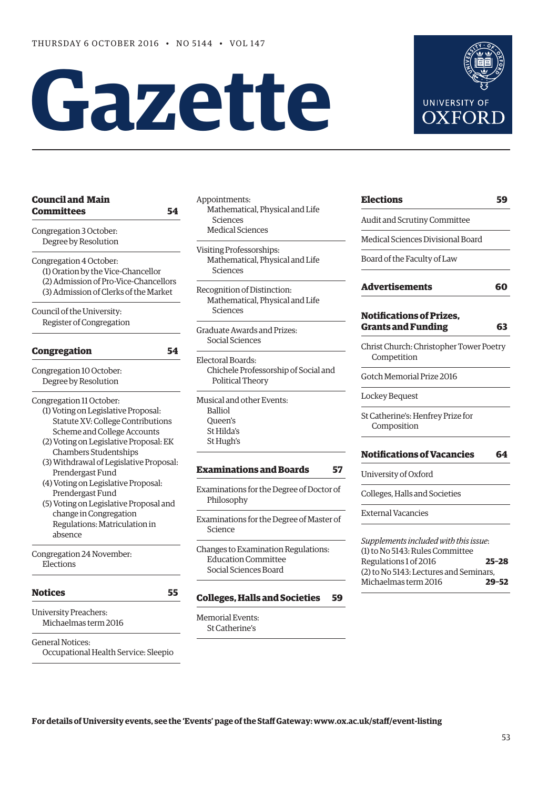# **Gazette**



| <b>Council and Main</b><br>Committees<br>54 | Ap  |
|---------------------------------------------|-----|
| Congregation 3 October:                     |     |
| Degree by Resolution                        | Vis |
| Congregation 4 October:                     |     |
| (1) Oration by the Vice-Chancellor          |     |
| (2) Admission of Pro-Vice-Chancellors       | Rec |
| (3) Admission of Clerks of the Market       |     |
| Council of the University:                  |     |
| Register of Congregation                    |     |
| <b>Congregation</b><br>54                   |     |
|                                             |     |
| Congregation 10 October:                    |     |
| Degree by Resolution                        |     |
| Congregation 11 October:                    |     |
| (1) Voting on Legislative Proposal:         |     |
| Statute XV: College Contributions           |     |
| Scheme and College Accounts                 |     |
| (2) Voting on Legislative Proposal: EK      |     |
| <b>Chambers Studentships</b>                |     |
| (3) Withdrawal of Legislative Proposal:     |     |
| Prendergast Fund                            |     |
| (4) Voting on Legislative Proposal:         |     |
| Prendergast Fund                            |     |
| (5) Voting on Legislative Proposal and      |     |
| change in Congregation                      |     |
| Regulations: Matriculation in<br>absence    |     |
| Congregation 24 November:                   |     |
| Elections                                   |     |
| <b>Notices</b><br>55                        |     |
| <b>University Preachers:</b>                |     |
| Michaelmas term 2016                        |     |
| <b>General Notices:</b>                     |     |

Occupational Health Service: Sleepio

pointments: Mathematical, Physical and Life Sciences Medical Sciences

iting Professorships: Mathematical, Physical and Life Sciences

cognition of Distinction: Mathematical, Physical and Life Sciences

aduate Awards and Prizes: Social Sciences

ectoral Boards: Chichele Professorship of Social and Political Theory

isical and other Events: Balliol Queen's St Hilda's St Hugh's

# **[Examinations and Boards](#page-4-0) 57**

aminations for the Degree of Doctor of Philosophy

aminations for the Degree of Master of Science

anges to Examination Regulations: Education Committee Social Sciences Board

# **[Colleges, Halls and Societies](#page-6-0) 59**

morial Events: St Catherine's

| Elections                         |  |
|-----------------------------------|--|
| Audit and Scrutiny Committee      |  |
| Medical Sciences Divisional Board |  |
| Board of the Faculty of Law       |  |
| <b>Advertisements</b>             |  |
|                                   |  |

# **[Notifications of Prizes,](#page-10-0)  Grants and Funding 63**

Christ Church: Christopher Tower Poetry Competition

Gotch Memorial Prize 2016

Lockey Bequest

 $\overline{\phantom{a}}$ 

St Catherine's: Henfrey Prize for Composition

# **[Notifications of Vacancies 64](#page-11-0)**

University of Oxford

Colleges, Halls and Societies

External Vacancies

*Supplements included with this issue*: (1) to No 5143: Rules Committee Regulations 1 of 2016 **25–28** (2) to No 5143: Lectures and Seminars, Michaelmas term 2016 **29–52**

**For details of University events, see the 'Events' page of the Staff Gateway: [www.ox.ac.uk/staff/event-listing](http://www.ox.ac.uk/staff/event-listing)**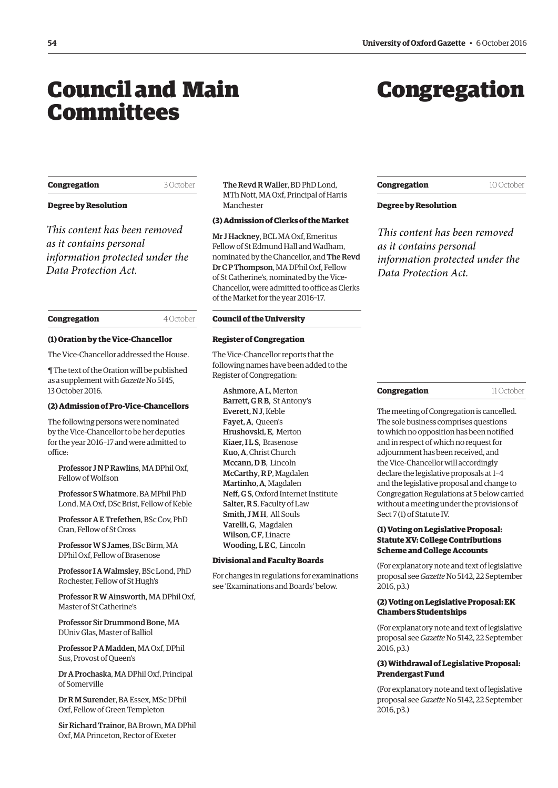# <span id="page-1-0"></span>Council and Main Committees

# Congregation

#### **Congregation** 3 October

# **Degree by Resolution**

*This content has been removed as it contains personal information protected under the Data Protection Act.*

# **Congregation** 4 October

#### **(1) Oration by the Vice-Chancellor**

The Vice-Chancellor addressed the House.

¶ The text of the Oration will be published as a supplement with *Gazette* No 5145, 13 October 2016.

# **(2) Admission of Pro-Vice-Chancellors**

The following persons were nominated by the Vice-Chancellor to be her deputies for the year 2016–17 and were admitted to office:

Professor J N P Rawlins, MA DPhil Oxf, Fellow of Wolfson

Professor S Whatmore, BA MPhil PhD Lond, MA Oxf, DSc Brist, Fellow of Keble

Professor A E Trefethen, BSc Cov, PhD Cran, Fellow of St Cross

Professor W S James, BSc Birm, MA DPhil Oxf, Fellow of Brasenose

Professor I A Walmsley, BSc Lond, PhD Rochester, Fellow of St Hugh's

Professor R W Ainsworth, MA DPhil Oxf, Master of St Catherine's

Professor Sir Drummond Bone, MA DUniv Glas, Master of Balliol

Professor P A Madden, MA Oxf, DPhil Sus, Provost of Queen's

Dr A Prochaska, MA DPhil Oxf, Principal of Somerville

Dr R M Surender, BA Essex, MSc DPhil Oxf, Fellow of Green Templeton

Sir Richard Trainor, BA Brown, MA DPhil Oxf, MA Princeton, Rector of Exeter

The Revd R Waller, BD PhD Lond, MTh Nott, MA Oxf, Principal of Harris Manchester

# **(3) Admission of Clerks of the Market**

Mr J Hackney, BCL MA Oxf, Emeritus Fellow of St Edmund Hall and Wadham, nominated by the Chancellor, and The Revd Dr C P Thompson, MA DPhil Oxf, Fellow of St Catherine's, nominated by the Vice-Chancellor, were admitted to office as Clerks of the Market for the year 2016–17.

#### **Council of the University**

#### **Register of Congregation**

The Vice-Chancellor reports that the following names have been added to the Register of Congregation:

Ashmore, A L, Merton Barrett, GRB, St Antony's Everett, N J, Keble Fayet, A, Queen's Hrushovski, E, Merton Kiaer II.S, Brasenose Kuo, A, Christ Church Mccann, D.B. Lincoln McCarthy, R P, Magdalen Martinho, A, Magdalen Neff, G S, Oxford Internet Institute Salter, R S, Faculty of Law Smith, JMH, All Souls Varelli, G, Magdalen Wilson, CF, Linacre Wooding, LEC, Lincoln

#### **Divisional and Faculty Boards**

For changes in regulations for examinations see '[Examinations and Boards](#page-6-0)' below.

# **Congregation** 10 October

## **Degree by Resolution**

*This content has been removed as it contains personal information protected under the Data Protection Act.*

The meeting of Congregation is cancelled. The sole business comprises questions to which no opposition has been notified and in respect of which no request for adjournment has been received, and the Vice-Chancellor will accordingly declare the legislative proposals at 1–4 and the legislative proposal and change to Congregation Regulations at 5 below carried without a meeting under the provisions of Sect 7 (1) of Statute IV.

# **(1) Voting on Legislative Proposal: Statute XV: College Contributions Scheme and College Accounts**

(For explanatory note and text of legislative proposal see *Gazette* [No 5142, 22 September](http://www.ox.ac.uk/gazette/2016-2017/22september2016-no5142/congregation/#cong1)  2016, p3.)

# **(2) Voting on Legislative Proposal: EK Chambers Studentships**

(For explanatory note and text of legislative proposal see *Gazette* [No 5142, 22 September](http://www.ox.ac.uk/gazette/2016-2017/22september2016-no5142/congregation/#cong2)  2016, p3.)

# **(3) Withdrawal of Legislative Proposal: Prendergast Fund**

(For explanatory note and text of legislative proposal see *Gazette* [No 5142, 22 September](http://www.ox.ac.uk/gazette/2016-2017/22september2016-no5142/congregation/#cong3) 2016, p3.)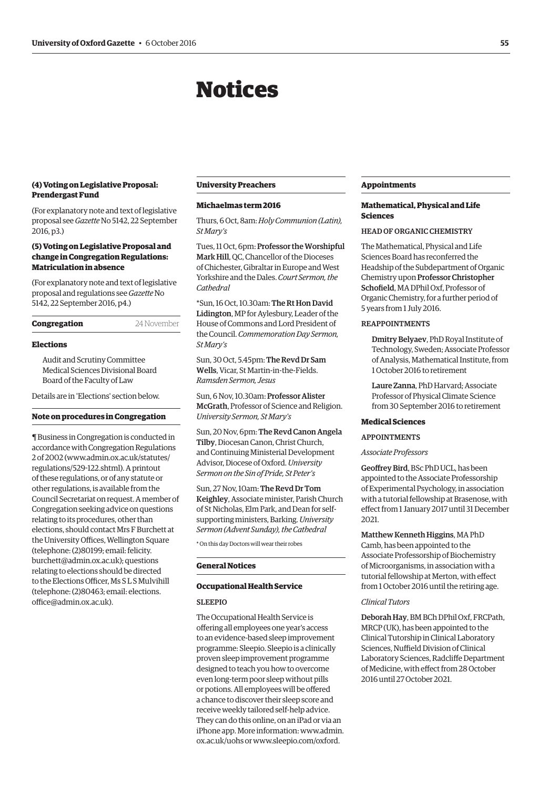# Notices

## <span id="page-2-0"></span>**(4) Voting on Legislative Proposal: Prendergast Fund**

(For explanatory note and text of legislative proposal see *Gazette* [No 5142, 22 September](http://www.ox.ac.uk/gazette/2016-2017/22september2016-no5142/congregation/#cong4)  2016, p3.)

# **(5) Voting on Legislative Proposal and change in Congregation Regulations: Matriculation in absence**

(For explanatory note and text of legislative proposal and regulations see *Gazette* No [5142, 22 September 2016, p4.\)](http://www.ox.ac.uk/gazette/2016-2017/22september2016-no5142/congregation/#cong5)

| 24 November |
|-------------|
|             |

## **Elections**

Audit and Scrutiny Committee Medical Sciences Divisional Board Board of the Faculty of Law

Details are in '[Elections'](#page-6-0) section below.

#### **Note on procedures in Congregation**

¶ Business in Congregation is conducted in accordance with Congregation Regulations 2 of 2002 [\(www.admin.ox.ac.uk/statutes/](http://www.admin.ox.ac.uk/statutes/regulations/529-122.shtml) [regulations/529-122.shtml\). A](http://www.admin.ox.ac.uk/statutes/regulations/529-122.shtml) printout of these regulations, or of any statute or other regulations, is available from the Council Secretariat on request. A member of Congregation seeking advice on questions relating to its procedures, other than elections, should contact Mrs F Burchett at the University Offices, Wellington Square (telephone: (2)80199; email: felicity. [burchett@admin.ox.ac.uk\); questions](mailto:felicity.burchett@admin.ox.ac.uk)  relating to elections should be directed to the Elections Officer, Ms S L S Mulvihill [\(telephone: \(2\)80463; email: elections.](mailto:elections.office@admin.ox.ac.uk) office@admin.ox.ac.uk).

#### **University Preachers**

#### **Michaelmas term 2016**

Thurs, 6 Oct, 8am: *Holy Communion (Latin), St Mary's*

Tues, 11 Oct, 6pm: Professor the Worshipful Mark Hill, QC, Chancellor of the Dioceses of Chichester, Gibraltar in Europe and West Yorkshire and the Dales. *Court Sermon, the Cathedral* 

\*Sun, 16 Oct, 10.30am: The Rt Hon David Lidington, MP for Aylesbury, Leader of the House of Commons and Lord President of the Council. *Commemoration Day Sermon, St Mary's*

Sun, 30 Oct, 5.45pm: The Revd Dr Sam Wells, Vicar, St Martin-in-the-Fields. *Ramsden Sermon, Jesus* 

Sun, 6 Nov, 10.30am: Professor Alister McGrath, Professor of Science and Religion. *University Sermon, St Mary's*

Sun, 20 Nov, 6pm: The Revd Canon Angela Tilby, Diocesan Canon, Christ Church, and Continuing Ministerial Development Advisor, Diocese of Oxford. *University Sermon on the Sin of Pride, St Peter's* 

Sun, 27 Nov, 10am: The Revd Dr Tom Keighley, Associate minister, Parish Church of St Nicholas, Elm Park, and Dean for selfsupporting ministers, Barking. *University Sermon (Advent Sunday), the Cathedral*

\* On this day Doctors will wear their robes

## **General Notices**

## **Occupational Health Service**

## **SLEEPIO**

The Occupational Health Service is offering all employees one year's access to an evidence-based sleep improvement programme: Sleepio. Sleepio is a clinically proven sleep improvement programme designed to teach you how to overcome even long-term poor sleep without pills or potions. All employees will be offered a chance to discover their sleep score and receive weekly tailored self-help advice. They can do this online, on an iPad or via an iPhone app. More in[formation: www.admin.](www.admin.ox.ac.uk/uohs) ox.ac.uk/uohs or [www.sleepio.com/oxford.](http://www.sleepio.com/oxford)

#### **Appointments**

# **Mathematical, Physical and Life Sciences**

# HEAD OF ORGANIC CHEMISTRY

The Mathematical, Physical and Life Sciences Board has reconferred the Headship of the Subdepartment of Organic Chemistry upon Professor Christopher Schofield, MA DPhil Oxf, Professor of Organic Chemistry, for a further period of 5 years from 1 July 2016.

# REAPPOINTMENTS

Dmitry Belyaev, PhD Royal Institute of Technology, Sweden; Associate Professor of Analysis, Mathematical Institute, from 1 October 2016 to retirement

Laure Zanna, PhD Harvard; Associate Professor of Physical Climate Science from 30 September 2016 to retirement

#### **Medical Sciences**

# APPOINTMENTS

#### *Associate Professors*

Geoffrey Bird, BSc PhD UCL, has been appointed to the Associate Professorship of Experimental Psychology, in association with a tutorial fellowship at Brasenose, with effect from 1 January 2017 until 31 December 2021.

# Matthew Kenneth Higgins, MA PhD Camb, has been appointed to the Associate Professorship of Biochemistry of Microorganisms, in association with a tutorial fellowship at Merton, with effect from 1 October 2016 until the retiring age.

#### *Clinical Tutors*

Deborah Hay, BM BCh DPhil Oxf, FRCPath, MRCP (UK), has been appointed to the Clinical Tutorship in Clinical Laboratory Sciences, Nuffield Division of Clinical Laboratory Sciences, Radcliffe Department of Medicine, with effect from 28 October 2016 until 27 October 2021.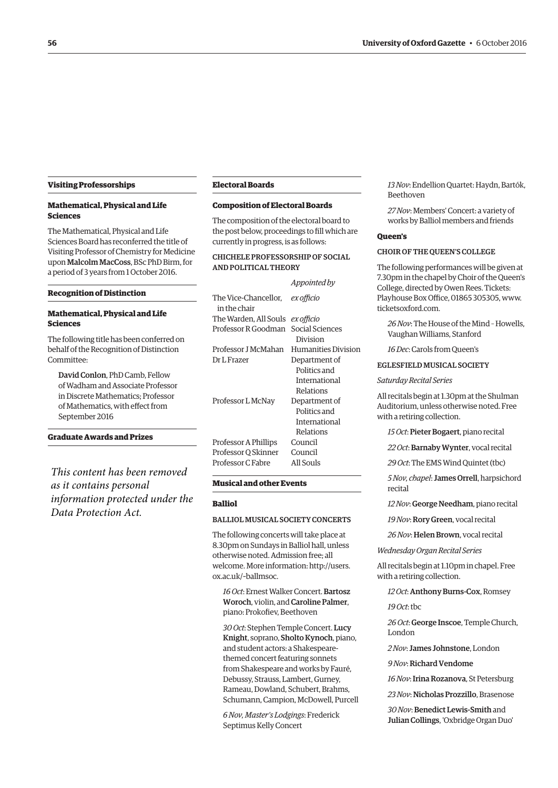#### **Visiting Professorships**

# **Mathematical, Physical and Life Sciences**

The Mathematical, Physical and Life Sciences Board has reconferred the title of Visiting Professor of Chemistry for Medicine upon Malcolm MacCoss, BSc PhD Birm, for a period of 3 years from 1 October 2016.

#### **Recognition of Distinction**

# **Mathematical, Physical and Life Sciences**

The following title has been conferred on behalf of the Recognition of Distinction Committee:

David Conlon, PhD Camb, Fellow of Wadham and Associate Professor in Discrete Mathematics; Professor of Mathematics, with effect from September 2016

# **Graduate Awards and Prizes**

*This content has been removed as it contains personal information protected under the Data Protection Act.*

#### **Electoral Boards**

# **Composition of Electoral Boards**

The composition of the electoral board to the post below, proceedings to fill which are currently in progress, is as follows:

# CHICHELE PROFESSORSHIP OF SOCIAL AND POLITICAL THEORY

|                                                        | Appointed by        |
|--------------------------------------------------------|---------------------|
| The Vice-Chancellor, <i>ex officio</i><br>in the chair |                     |
| The Warden, All Souls <i>ex officio</i>                |                     |
| Professor R Goodman Social Sciences                    | Division            |
| Professor J McMahan                                    | Humanities Division |
| Dr L Frazer                                            | Department of       |
|                                                        | Politics and        |
|                                                        | International       |
|                                                        | Relations           |
| Professor L McNay                                      | Department of       |
|                                                        | Politics and        |
|                                                        | International       |
|                                                        | Relations           |
| Professor A Phillips                                   | Council             |
| Professor Q Skinner                                    | Council             |
| Professor C Fabre                                      | All Souls           |
|                                                        |                     |

#### **Musical and other Events**

#### **Balliol**

# BALLIOL MUSICAL SOCIETY CONCERTS

The following concerts will take place at 8.30pm on Sundays in Balliol hall, unless otherwise noted. Admission free; all [welcome. More information: http://users.](http://users.ox.ac.uk/~ballmsoc) ox.ac.uk/~ballmsoc.

*16 Oct*: Ernest Walker Concert. Bartosz Woroch, violin, and Caroline Palmer, piano: Prokofiev, Beethoven

*30 Oct*: Stephen Temple Concert. Lucy Knight, soprano, Sholto Kynoch, piano, and student actors: a Shakespearethemed concert featuring sonnets from Shakespeare and works by Fauré, Debussy, Strauss, Lambert, Gurney, Rameau, Dowland, Schubert, Brahms, Schumann, Campion, McDowell, Purcell

*6 Nov, Master's Lodgings*: Frederick Septimus Kelly Concert

*13 Nov*: Endellion Quartet: Haydn, Bartók, Beethoven

*27 Nov*: Members' Concert: a variety of works by Balliol members and friends

# **Queen's**

## CHOIR OF THE QUEEN'S COLLEGE

The following performances will be given at 7.30pm in the chapel by Choir of the Queen's College, directed by Owen Rees. Tickets: Playhouse Box Office, 01865 305305, [www.](http://www.ticketsoxford.com) [ticketsoxford.com.](http://www.ticketsoxford.com)

*26 Nov*: The House of the Mind – Howells, Vaughan Williams, Stanford

*16 Dec*: Carols from Queen's

# EGLESFIELD MUSICAL SOCIETY

#### *Saturday Recital Series*

All recitals begin at 1.30pm at the Shulman Auditorium, unless otherwise noted. Free with a retiring collection.

*15 Oct*: Pieter Bogaert, piano recital

*22 Oct*: Barnaby Wynter, vocal recital

*29 Oct*: The EMS Wind Quintet (tbc)

*5 Nov, chapel*: James Orrell, harpsichord recital

*12 Nov*: George Needham, piano recital

*19 Nov*: Rory Green, vocal recital

*26 Nov*: Helen Brown, vocal recital

*Wednesday Organ Recital Series*

All recitals begin at 1.10pm in chapel. Free with a retiring collection.

*12 Oct*: Anthony Burns-Cox, Romsey

*19 Oct*: tbc

*26 Oct*: George Inscoe, Temple Church, London

*2 Nov*: James Johnstone, London

*9 Nov*: Richard Vendome

*16 Nov*: Irina Rozanova, St Petersburg

*23 Nov*:Nicholas Prozzillo, Brasenose

*30 Nov*: Benedict Lewis-Smith and Julian Collings, 'Oxbridge Organ Duo'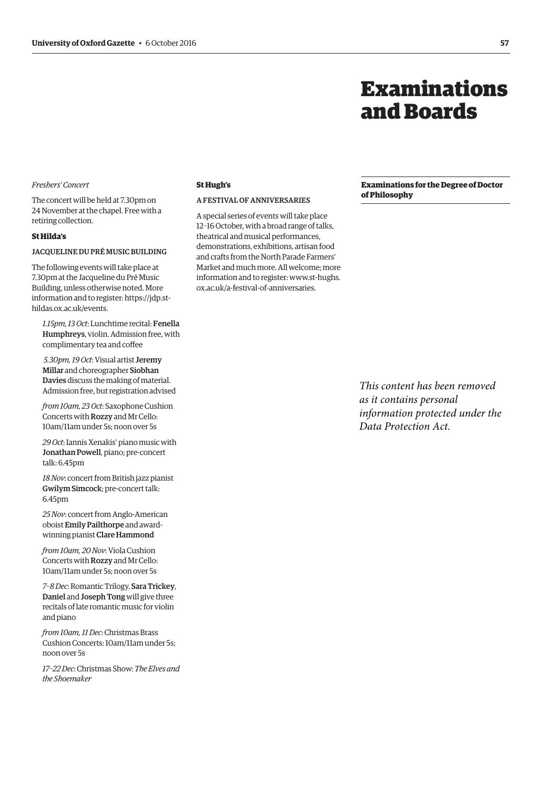# Examinations and Boards

# <span id="page-4-0"></span>*Freshers' Concert*

The concert will be held at 7.30pm on 24 November at the chapel. Free with a retiring collection.

#### **St Hilda's**

#### JACQUELINE DU PRÉ MUSIC BUILDING

The following events will take place at 7.30pm at the Jacqueline du Pré Music Building, unless otherwise noted. More [information and to register: https://jdp.st](https://jdp.st-hildas.ox.ac.uk/events)hildas.ox.ac.uk/events.

*1.15pm, 13 Oct*: Lunchtime recital: Fenella Humphreys, violin. Admission free, with complimentary tea and coffee

*5.30pm, 19 Oct*: Visual artist Jeremy Millar and choreographer Siobhan Davies discuss the making of material. Admission free, but registration advised

*from 10am, 23 Oct*: Saxophone Cushion Concerts with Rozzy and Mr Cello: 10am/11am under 5s; noon over 5s

*29 Oct*: Iannis Xenakis' piano music with Jonathan Powell, piano; pre-concert talk: 6.45pm

*18 Nov*: concert from British jazz pianist Gwilym Simcock; pre-concert talk: 6.45pm

*25 Nov*: concert from Anglo-American oboist Emily Pailthorpe and awardwinning pianist Clare Hammond

*from 10am, 20 Nov*: Viola Cushion Concerts with Rozzy and Mr Cello: 10am/11am under 5s; noon over 5s

*7–8 Dec*: Romantic Trilogy. Sara Trickey, Daniel and Joseph Tong will give three recitals of late romantic music for violin and piano

*from 10am, 11 Dec*: Christmas Brass Cushion Concerts: 10am/11am under 5s; noon over 5s

*17–22 Dec*: Christmas Show: *The Elves and the Shoemaker*

# **St Hugh's**

# A FESTIVAL OF ANNIVERSARIES

A special series of events will take place 12–16 October, with a broad range of talks, theatrical and musical performances, demonstrations, exhibitions, artisan food and crafts from the North Parade Farmers' Market and much more. All welcome; more [information and to register: www.st-hughs.](http://www.st-hughs.ox.ac.uk/a-festival-of-anniversaries) ox.ac.uk/a-festival-of-anniversaries.

**Examinations for the Degree of Doctor of Philosophy**

*This content has been removed as it contains personal information protected under the Data Protection Act.*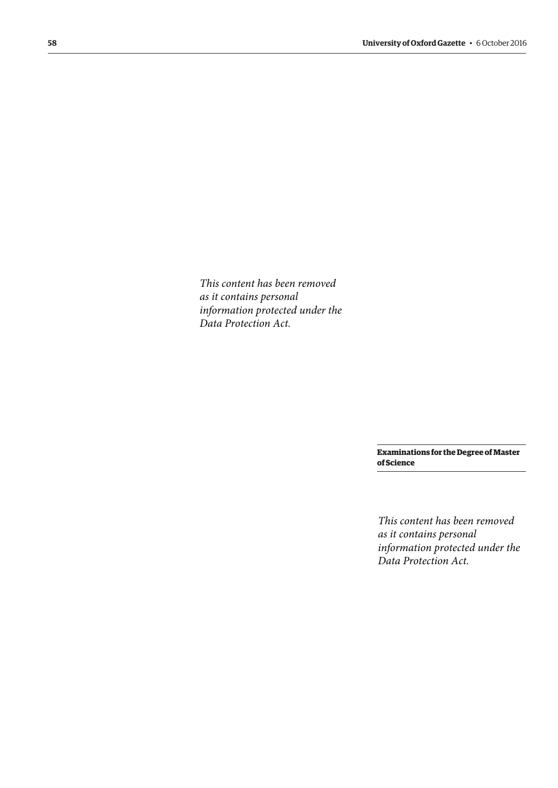*This content has been removed as it contains personal information protected under the Data Protection Act.*

> **Examinations for the Degree of Master of Science**

> *This content has been removed as it contains personal information protected under the Data Protection Act.*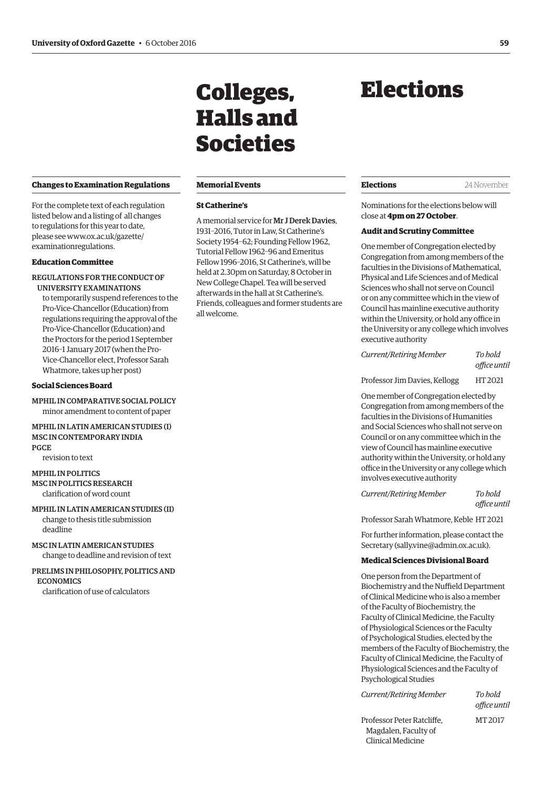# <span id="page-6-0"></span>**Changes to Examination Regulations**

For the complete text of each regulation listed below and a listing of all changes to regulations for this year to date, [please see www.ox.ac.uk/gazette/](www.ox.ac.uk/gazette/examinationregulations) examinationregulations.

# **Education Committee**

REGULATIONS FOR THE CONDUCT OF UNIVERSITY EXAMINATIONS

to temporarily suspend references to the Pro-Vice-Chancellor (Education) from regulations requiring the approval of the Pro-Vice-Chancellor (Education) and the Proctors for the period 1 September 2016–1 January 2017 (when the Pro-Vice-Chancellor elect, Professor Sarah Whatmore, takes up her post)

# **Social Sciences Board**

MPHIL IN COMPARATIVE SOCIAL POLICY minor amendment to content of paper

MPHIL IN LATIN AMERICAN STUDIES (I) MSC IN CONTEMPORARY INDIA PGCE

revision to text

#### MPHIL IN POLITICS MSC IN POLITICS RESEARCH

clarification of word count

- MPHIL IN LATIN AMERICAN STUDIES (II) change to thesis title submission deadline
- MSC IN LATIN AMERICAN STUDIES change to deadline and revision of text
- PRELIMS IN PHILOSOPHY, POLITICS AND **ECONOMICS** clarification of use of calculators

# Colleges, Halls and Societies

#### **Memorial Events**

## **St Catherine's**

A memorial service for Mr J Derek Davies, 1931–2016, Tutor in Law, St Catherine's Society 1954–62; Founding Fellow 1962, Tutorial Fellow 1962–96 and Emeritus Fellow 1996–2016, St Catherine's, will be held at 2.30pm on Saturday, 8 October in New College Chapel. Tea will be served afterwards in the hall at St Catherine's. Friends, colleagues and former students are all welcome.

# Elections

**Elections** 24 November

Nominations for the elections below will close at **4pm on 27 October**.

# **Audit and Scrutiny Committee**

One member of Congregation elected by Congregation from among members of the faculties in the Divisions of Mathematical, Physical and Life Sciences and of Medical Sciences who shall not serve on Council or on any committee which in the view of Council has mainline executive authority within the University, or hold any office in the University or any college which involves executive authority

*Current/Retiring Member To hold office until* 

Professor Jim Davies, Kellogg HT 2021

One member of Congregation elected by Congregation from among members of the faculties in the Divisions of Humanities and Social Sciences who shall not serve on Council or on any committee which in the view of Council has mainline executive authority within the University, or hold any office in the University or any college which involves executive authority

*Current/Retiring Member To hold office until* 

Professor Sarah Whatmore, Keble HT 2021

For further information, please contact the Secretary ([sally.vine@admin.ox.ac.uk\).](mailto:sally.vine@admin.ox.ac.uk)

# **Medical Sciences Divisional Board**

One person from the Department of Biochemistry and the Nuffield Department of Clinical Medicine who is also a member of the Faculty of Biochemistry, the Faculty of Clinical Medicine, the Faculty of Physiological Sciences or the Faculty of Psychological Studies, elected by the members of the Faculty of Biochemistry, the Faculty of Clinical Medicine, the Faculty of Physiological Sciences and the Faculty of Psychological Studies

*Current/Retiring Member To hold* 

*office until* 

Professor Peter Ratcliffe, MT 2017 Magdalen, Faculty of Clinical Medicine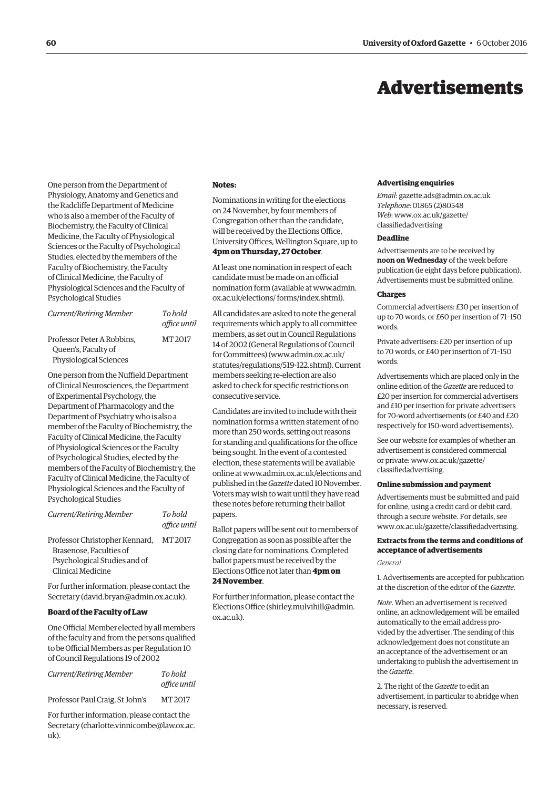# Advertisements

<span id="page-7-0"></span>One person from the Department of Physiology, Anatomy and Genetics and the Radcliffe Department of Medicine who is also a member of the Faculty of Biochemistry, the Faculty of Clinical Medicine, the Faculty of Physiological Sciences or the Faculty of Psychological Studies, elected by the members of the Faculty of Biochemistry, the Faculty of Clinical Medicine, the Faculty of Physiological Sciences and the Faculty of Psychological Studies

| Current/Retiring Member                                                     | To bold<br>office until |
|-----------------------------------------------------------------------------|-------------------------|
| Professor Peter A Robbins.<br>Queen's, Faculty of<br>Physiological Sciences | MT 2017                 |

One person from the Nuffield Department of Clinical Neurosciences, the Department of Experimental Psychology, the Department of Pharmacology and the Department of Psychiatry who is also a member of the Faculty of Biochemistry, the Faculty of Clinical Medicine, the Faculty of Physiological Sciences or the Faculty of Psychological Studies, elected by the members of the Faculty of Biochemistry, the Faculty of Clinical Medicine, the Faculty of Physiological Sciences and the Faculty of Psychological Studies

| <b>Current/Retiring Member</b>                                                                                 | To hold<br>office until |
|----------------------------------------------------------------------------------------------------------------|-------------------------|
| Professor Christopher Kennard,<br>Brasenose. Faculties of<br>Psychological Studies and of<br>Clinical Medicine | MT 2017                 |

For further information, please contact the Secretary [\(david.bryan@admin.ox.ac.uk\).](mailto:david.bryan@admin.ox.ac.uk)

# **Board of the Faculty of Law**

One Official Member elected by all members of the faculty and from the persons qualified to be Official Members as per Regulation 10 of Council Regulations 19 of 2002

| Current/Retiring Member         | To bold      |
|---------------------------------|--------------|
|                                 | office until |
| Professor Paul Craig, St John's | MT 2017      |

For further information, please contact the Secretary [\(charlotte.vinnicombe@law.ox.ac.](mailto:charlotte.vinnicombe@law.ox.ac.uk) [uk\).](mailto:charlotte.vinnicombe@law.ox.ac.uk)

#### **Notes:**

Nominations in writing for the elections on 24 November, by four members of Congregation other than the candidate, will be received by the Elections Office, University Offices, Wellington Square, up to **4pm on Thursday, 27 October**.

At least one nomination in respect of each candidate must be made on an official [nomination form \(available at www.admin.](www.admin.ox.ac.uk/elections/forms/index.shtml) ox.ac.uk/elections/ forms/index.shtml).

All candidates are asked to note the general requirements which apply to all committee members, as set out in Council Regulations 14 of 2002 (General Regulations of Council for Committees) [\(www.admin.ox.ac.uk/](http://www.admin.ox.ac.uk/statutes/regulations/519-122.shtml) [statutes/regulations/519-122.shtml\). Cu](http://www.admin.ox.ac.uk/statutes/regulations/519-122.shtml)rrent members seeking re-election are also asked to check for specific restrictions on consecutive service.

Candidates are invited to include with their nomination forms a written statement of no more than 250 words, setting out reasons for standing and qualifications for the office being sought. In the event of a contested election, these statements will be available online at [www.admin.ox.ac.uk/elections an](http://www.admin.ox.ac.uk/elections)d published in the *Gazette* dated 10 November. Voters may wish to wait until they have read these notes before returning their ballot papers.

Ballot papers will be sent out to members of Congregation as soon as possible after the closing date for nominations. Completed ballot papers must be received by the Elections Office not later than **4pm on 24 November**.

For further information, please contact the Elections Office ([shirley.mulvihill@admin.](mailto:shirley.mulvihill@admin.ox.ac.uk) [ox.ac.uk\).](mailto:shirley.mulvihill@admin.ox.ac.uk)

#### **Advertising enquiries**

*Email*: [gazette.ads@admin.ox.ac.uk](mailto:gazette.ads@admin.ox.ac.uk) *Telephone*: 01865 (2)80548 *Web*[: www.ox.ac.uk/gazette/](www.ox.ac.uk/gazette/classifiedadvertising) classifiedadvertising

#### **Deadline**

Advertisements are to be received by **noon on Wednesday** of the week before publication (ie eight days before publication). Advertisements must be submitted online.

#### **Charges**

Commercial advertisers: £30 per insertion of up to 70 words, or £60 per insertion of 71–150 words.

Private advertisers: £20 per insertion of up to 70 words, or £40 per insertion of 71–150 words.

Advertisements which are placed only in the online edition of the *Gazette* are reduced to £20 per insertion for commercial advertisers and £10 per insertion for private advertisers for 70-word advertisements (or £40 and £20 respectively for 150-word advertisements).

See our website for examples of whether an advertisement is considered commercial [or private: www.ox.ac.uk/gazette/](www.ox.ac.uk/gazette/classifiedadvertising) classifiedadvertising.

#### **Online submission and payment**

Advertisements must be submitted and paid for online, using a credit card or debit card, through a secure website. For details, see [www.ox.ac.uk/gazette/classifiedadvertising.](http://www.ox.ac.uk/gazette/classifiedadvertising)

# **Extracts from the terms and conditions of acceptance of advertisements**

*General*

1. Advertisements are accepted for publication at the discretion of the editor of the *Gazette*.

*Note*. When an advertisement is received online, an acknowledgement will be emailed automatically to the email address provided by the advertiser. The sending of this acknowledgement does not constitute an an acceptance of the advertisement or an undertaking to publish the advertisement in the *Gazette*.

2. The right of the *Gazette* to edit an advertisement, in particular to abridge when necessary, is reserved.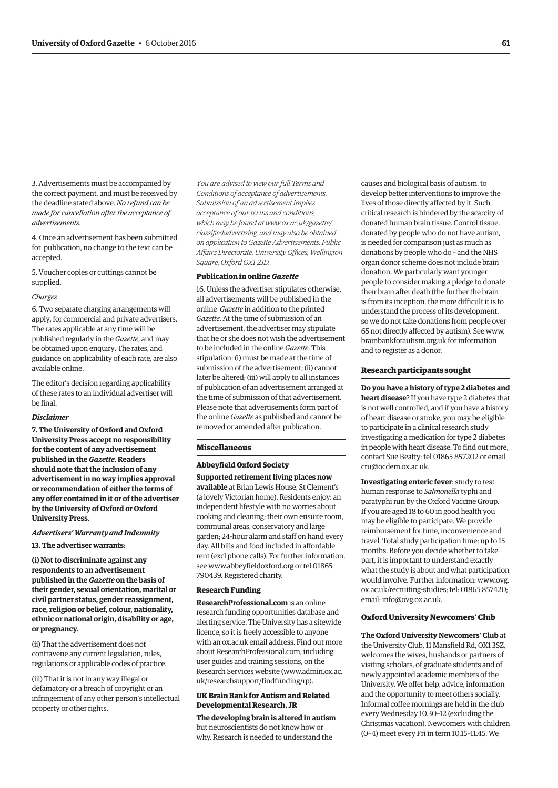3. Advertisements must be accompanied by the correct payment, and must be received by the deadline stated above. *No refund can be made for cancellation after the acceptance of advertisements*.

4. Once an advertisement has been submitted for publication, no change to the text can be accepted.

5. Voucher copies or cuttings cannot be supplied.

#### *Charges*

6. Two separate charging arrangements will apply, for commercial and private advertisers. The rates applicable at any time will be published regularly in the *Gazette*, and may be obtained upon enquiry. The rates, and guidance on applicability of each rate, are also available online.

The editor's decision regarding applicability of these rates to an individual advertiser will be final.

#### *Disclaimer*

**7. The University of Oxford and Oxford University Press accept no responsibility for the content of any advertisement published in the** *Gazette***. Readers should note that the inclusion of any advertisement in no way implies approval or recommendation of either the terms of any offer contained in it or of the advertiser by the University of Oxford or Oxford University Press.**

#### *Advertisers' Warranty and Indemnity*

**13. The advertiser warrants:**

**(i) Not to discriminate against any respondents to an advertisement published in the** *Gazette* **on the basis of their gender, sexual orientation, marital or civil partner status, gender reassignment, race, religion or belief, colour, nationality, ethnic or national origin, disability or age, or pregnancy.**

(ii) That the advertisement does not contravene any current legislation, rules, regulations or applicable codes of practice.

(iii) That it is not in any way illegal or defamatory or a breach of copyright or an infringement of any other person's intellectual property or other rights.

*You are advised to view our full Terms and Conditions of acceptance of advertisements. Submission of an advertisement implies acceptance of our terms and conditions, which may be found at www.ox.ac.uk/gazette/ [classifiedadvertising, and may also be obtained](www.ox.ac.uk/gazette/classifiedadvertising)  on application to Gazette Advertisements, Public Affairs Directorate, University Offices, Wellington Square, Oxford OX1 2JD.*

#### **Publication in online** *Gazette*

16. Unless the advertiser stipulates otherwise, all advertisements will be published in the online *Gazette* in addition to the printed *Gazette*. At the time of submission of an advertisement, the advertiser may stipulate that he or she does not wish the advertisement to be included in the online *Gazette*. This stipulation: (i) must be made at the time of submission of the advertisement; (ii) cannot later be altered; (iii) will apply to all instances of publication of an advertisement arranged at the time of submission of that advertisement. Please note that advertisements form part of the online *Gazette* as published and cannot be removed or amended after publication.

## **Miscellaneous**

## **Abbeyfield Oxford Society**

**Supported retirement living places now available** at Brian Lewis House, St Clement's (a lovely Victorian home). Residents enjoy: an independent lifestyle with no worries about cooking and cleaning; their own ensuite room, communal areas, conservatory and large garden; 24-hour alarm and staff on hand every day. All bills and food included in affordable rent (excl phone calls). For further information, see [www.abbeyfieldoxford.org or](http://www.abbeyfieldoxford.org) tel 01865 790439. Registered charity.

#### **Research Funding**

**ResearchProfessional.com** is an online research funding opportunities database and alerting service. The University has a sitewide licence, so it is freely accessible to anyone with an ox.ac.uk email address. Find out more about ResearchProfessional.com, including user guides and training sessions, on the Research Services website ([www.admin.ox.ac.](http://www.admin.ox.ac.uk/researchsupport/findfunding/rp) [uk/researchsupport/findfunding/rp\).](http://www.admin.ox.ac.uk/researchsupport/findfunding/rp)

### **UK Brain Bank for Autism and Related Developmental Research, JR**

**The developing brain is altered in autism** but neuroscientists do not know how or why. Research is needed to understand the

causes and biological basis of autism, to develop better interventions to improve the lives of those directly affected by it. Such critical research is hindered by the scarcity of donated human brain tissue. Control tissue, donated by people who do not have autism, is needed for comparison just as much as donations by people who do – and the NHS organ donor scheme does not include brain donation. We particularly want younger people to consider making a pledge to donate their brain after death (the further the brain is from its inception, the more difficult it is to understand the process of its development, so we do not take donations from people over 65 not directly affected by autism). See [www.](http://www.brainbankforautism.org.uk) [brainbankforautism.org.uk fo](http://www.brainbankforautism.org.uk)r information and to register as a donor.

#### **Research participants sought**

**Do you have a history of type 2 diabetes and heart disease**? If you have type 2 diabetes that is not well controlled, and if you have a history of heart disease or stroke, you may be eligible to participate in a clinical research study investigating a medication for type 2 diabetes in people with heart disease. To find out more, contact Sue Beatty: tel 01865 857202 or email [cru@ocdem.ox.ac.uk.](mailto:cru@ocdem.ox.ac.uk)

**Investigating enteric fever**: study to test human response to *Salmonella* typhi and paratyphi run by the Oxford Vaccine Group. If you are aged 18 to 60 in good health you may be eligible to participate. We provide reimbursement for time, inconvenience and travel. Total study participation time: up to 15 months. Before you decide whether to take part, it is important to understand exactly what the study is about and what participation [would involve. Further information: www.ovg.](www.ovg.ox.ac.uk/recruiting-studies) ox.ac.uk/recruiting-studies; tel: 01865 857420; email: [info@ovg.ox.ac.uk.](mailto:info@ovg.ox.ac.uk)

#### **Oxford University Newcomers' Club**

**The Oxford University Newcomers' Club** at the University Club, 11 Mansfield Rd, OX1 3SZ, welcomes the wives, husbands or partners of visiting scholars, of graduate students and of newly appointed academic members of the University. We offer help, advice, information and the opportunity to meet others socially. Informal coffee mornings are held in the club every Wednesday 10.30–12 (excluding the Christmas vacation). Newcomers with children (0–4) meet every Fri in term 10.15–11.45. We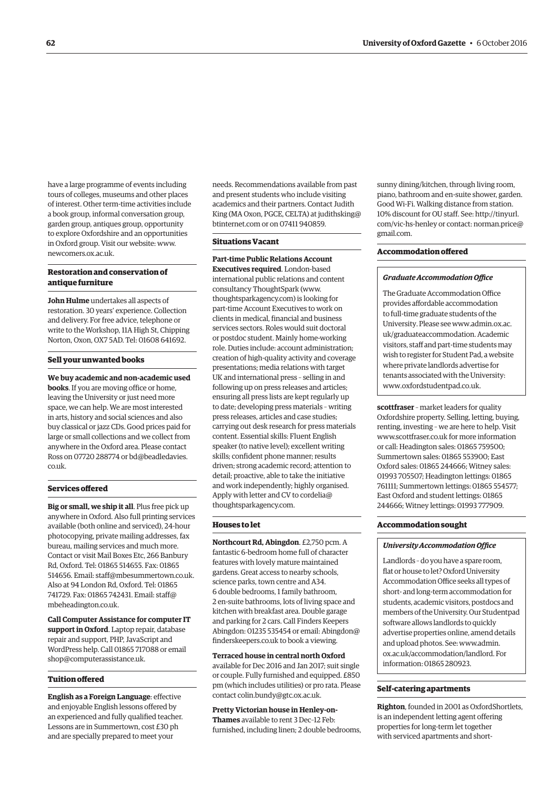have a large programme of events including tours of colleges, museums and other places of interest. Other term-time activities include a book group, informal conversation group, garden group, antiques group, opportunity to explore Oxfordshire and an opportunities in Oxford group. Visit our website: [www.](http://www.newcomers.ox.ac.uk) [newcomers.ox.ac.uk.](http://www.newcomers.ox.ac.uk)

# **Restoration and conservation of antique furniture**

**John Hulme** undertakes all aspects of restoration. 30 years' experience. Collection and delivery. For free advice, telephone or write to the Workshop, 11A High St, Chipping Norton, Oxon, OX7 5AD. Tel: 01608 641692.

#### **Sell your unwanted books**

**We buy academic and non-academic used books**. If you are moving office or home, leaving the University or just need more space, we can help. We are most interested in arts, history and social sciences and also buy classical or jazz CDs. Good prices paid for large or small collections and we collect from anywhere in the Oxford area. Please contact [Ross on 07720 288774 or bd@beadledavies.](mailto:bd@beadledavies.co.uk) co.uk.

## **Services offered**

**Big or small, we ship it all**. Plus free pick up anywhere in Oxford. Also full printing services available (both online and serviced), 24-hour photocopying, private mailing addresses, fax bureau, mailing services and much more. Contact or visit Mail Boxes Etc, 266 Banbury Rd, Oxford. Tel: 01865 514655. Fax: 01865 514656. Email: [staff@mbesummertown.co.uk.](mailto:staff@mbesummertown.co.uk)  Also at 94 London Rd, Oxford. Tel: 01865 [741729. Fax: 01865 742431. Email: staff@](mailto:staff@mbeheadington.co.uk) mbeheadington.co.uk.

**Call Computer Assistance for computer IT support in Oxford**. Laptop repair, database repair and support, PHP, JavaScript and WordPress help. Call 01865 717088 or email [shop@computerassistance.uk.](mailto:shop@computerassistance.uk)

# **Tuition offered**

**English as a Foreign Language**: effective and enjoyable English lessons offered by an experienced and fully qualified teacher. Lessons are in Summertown, cost £30 ph and are specially prepared to meet your

needs. Recommendations available from past and present students who include visiting academics and their partners. Contact Judith [King \(MA Oxon, PGCE, CELTA\) at judithsking@](mailto:judithsking@btinternet.com) btinternet.com or on 07411 940859.

# **Situations Vacant**

**Part-time Public Relations Account Executives required**. London-based international public relations and content consultancy ThoughtSpark [\(www.](http://www.thoughtsparkagency.com) [thoughtsparkagency.com\) is](http://www.thoughtsparkagency.com) looking for part-time Account Executives to work on clients in medical, financial and business services sectors. Roles would suit doctoral or postdoc student. Mainly home-working role. Duties include: account administration; creation of high-quality activity and coverage presentations; media relations with target UK and international press – selling in and following up on press releases and articles; ensuring all press lists are kept regularly up to date; developing press materials – writing press releases, articles and case studies; carrying out desk research for press materials content. Essential skills: Fluent English speaker (to native level); excellent writing skills; confident phone manner; results driven; strong academic record; attention to detail; proactive, able to take the initiative and work independently; highly organised. [Apply with letter and CV to cordelia@](mailto:cordelia@thoughtsparkagency.com) thoughtsparkagency.com.

#### **Houses to let**

**Northcourt Rd, Abingdon**. £2,750 pcm. A fantastic 6-bedroom home full of character features with lovely mature maintained gardens. Great access to nearby schools, science parks, town centre and A34. 6 double bedrooms, 1 family bathroom, 2 en-suite bathrooms, lots of living space and kitchen with breakfast area. Double garage and parking for 2 cars. Call Finders Keepers [Abingdon: 01235 535454 or email: Abingdon@](mailto:Abingdon@finderskeepers.co.uk) finderskeepers.co.uk to book a viewing.

**Terraced house in central north Oxford** available for Dec 2016 and Jan 2017; suit single or couple. Fully furnished and equipped. £850 pm (which includes utilities) or pro rata. Please contact [colin.bundy@gtc.ox.ac.uk.](mailto:colin.bundy@gtc.ox.ac.uk)

**Pretty Victorian house in Henley-on-Thames** available to rent 3 Dec–12 Feb: furnished, including linen; 2 double bedrooms, sunny dining/kitchen, through living room, piano, bathroom and en-suite shower, garden. Good Wi-Fi. Walking distance from station. 10% discount for OU s[taff. See: http://tinyurl.](http://tinyurl.com/vic-hs-henley) com/vic-hs-henley o[r contact: norman.price@](mailto:norman.price@gmail.com) gmail.com.

## **Accommodation offered**

#### *Graduate Accommodation Office*

The Graduate Accommodation Office provides affordable accommodation to full-time graduate students of the [University. Please see www.admin.ox.ac.](www.admin.ox.ac.uk/graduateaccommodation) uk/graduateaccommodation. Academic visitors, staff and part-time students may wish to register for Student Pad, a website where private landlords advertise for tenants associated with the University: [www.oxfordstudentpad.co.uk.](http://www.oxfordstudentpad.co.uk)

**scottfraser** – market leaders for quality Oxfordshire property. Selling, letting, buying, renting, investing – we are here to help. Visit [www.scottfraser.co.uk for](http://www.scottfraser.co.uk) more information or call: Headington sales: 01865 759500; Summertown sales: 01865 553900; East Oxford sales: 01865 244666; Witney sales: 01993 705507; Headington lettings: 01865 761111; Summertown lettings: 01865 554577; East Oxford and student lettings: 01865 244666; Witney lettings: 01993 777909.

### **Accommodation sought**

#### *University Accommodation Office*

Landlords – do you have a spare room, flat or house to let? Oxford University Accommodation Office seeks all types of short- and long-term accommodation for students, academic visitors, postdocs and members of the University. Our Studentpad software allows landlords to quickly advertise properties online, amend details and upload photos. See: www.admin. [ox.ac.uk/accommodation/landlord. For](www.admin.ox.ac.uk/accommodation/landlord)  information: 01865 280923.

#### **Self-catering apartments**

**Righton**, founded in 2001 as OxfordShortlets, is an independent letting agent offering properties for long-term let together with serviced apartments and short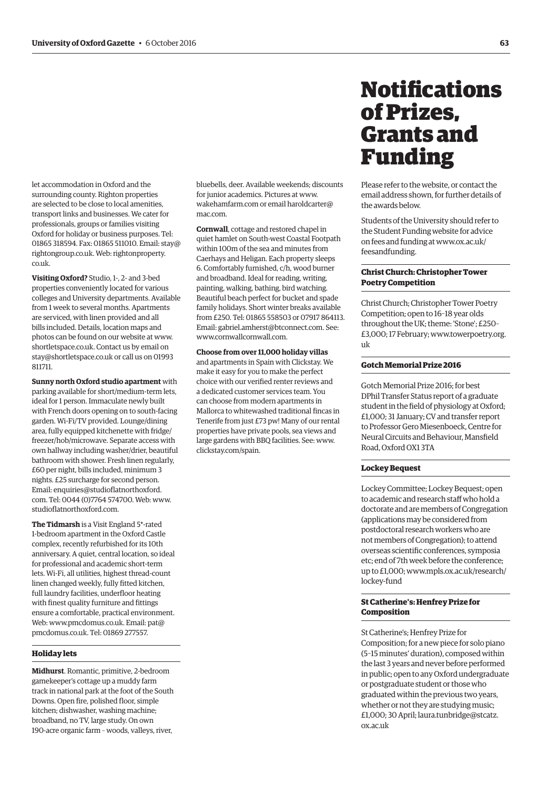<span id="page-10-0"></span>let accommodation in Oxford and the surrounding county. Righton properties are selected to be close to local amenities, transport links and businesses. We cater for professionals, groups or families visiting Oxford for holiday or business purposes. Tel: 01865 318594. Fax: 01865 511010. Email[: stay@](mailto:stay@rightongroup.co.uk) [rightongroup.co.uk.](mailto:stay@rightongroup.co.uk) Web: [rightonproperty.](http://rightongroup.co.uk) co.uk.

**Visiting Oxford?** Studio, 1-, 2- and 3-bed properties conveniently located for various colleges and University departments. Available from 1 week to several months. Apartments are serviced, with linen provided and all bills included. Details, location maps and photos can be found on our website at [www.](http://www.shortletspace.co.uk) [shortletspace.co.uk. Co](http://www.shortletspace.co.uk)ntact us by email on [stay@shortletspace.co.uk or](mailto:stay@shortletspace.co.uk) call us on 01993 811711.

**Sunny north Oxford studio apartment** with parking available for short/medium-term lets, ideal for 1 person. Immaculate newly built with French doors opening on to south-facing garden. Wi-Fi/TV provided. Lounge/dining area, fully equipped kitchenette with fridge/ freezer/hob/microwave. Separate access with own hallway including washer/drier, beautiful bathroom with shower. Fresh linen regularly, £60 per night, bills included, minimum 3 nights. £25 surcharge for second person. Email: [enquiries@studioflatnorthoxford.](mailto:enquiries@studioflatnorthoxford.com) com. Tel: 0044 (0)7764 574700. Web: [www.](http://www.studioflatnorthoxford.com) [studioflatnorthoxford.com.](http://www.studioflatnorthoxford.com)

**The Tidmarsh** is a Visit England 5\*-rated 1-bedroom apartment in the Oxford Castle complex, recently refurbished for its 10th anniversary. A quiet, central location, so ideal for professional and academic short-term lets. Wi-Fi, all utilities, highest thread-count linen changed weekly, fully fitted kitchen, full laundry facilities, underfloor heating with finest quality furniture and fittings ensure a comfortable, practical environment. Web: [www.pmcdomus.co.uk. Em](http://www.pmcdomus.co.uk)ail: pat@ [pmcdomus.co.uk. Tel: 01](mailto:pat@pmcdomus.co.uk)869 277557.

# **Holiday lets**

**Midhurst**. Romantic, primitive, 2-bedroom gamekeeper's cottage up a muddy farm track in national park at the foot of the South Downs. Open fire, polished floor, simple kitchen; dishwasher, washing machine; broadband, no TV, large study. On own 190-acre organic farm – woods, valleys, river,

bluebells, deer. Available weekends; discounts for junior academics. Pictures at [www.](http://www.wakehamfarm.com) [wakehamfarm.com or](http://www.wakehamfarm.com) em[ail haroldcarter@](mailto:haroldcarter@mac.com) mac.com.

**Cornwall**, cottage and restored chapel in quiet hamlet on South-west Coastal Footpath within 100m of the sea and minutes from Caerhays and Heligan. Each property sleeps 6. Comfortably furnished, c/h, wood burner and broadband. Ideal for reading, writing, painting, walking, bathing, bird watching. Beautiful beach perfect for bucket and spade family holidays. Short winter breaks available from £250. Tel: 01865 558503 or 07917 864113. Email: [gabriel.amherst@btconnect.com. Se](mailto:gabriel.amherst@btconnect.com)e: [www.cornwallcornwall.com.](http://www.cornwallcornwall.com)

# **Choose from over 11,000 holiday villas**

and apartments in Spain with Clickstay. We make it easy for you to make the perfect choice with our verified renter reviews and a dedicated customer services team. You can choose from modern apartments in Mallorca to whitewashed traditional fincas in Tenerife from just £73 pw! Many of our rental properties have private pools, sea views and large gardens with BBQ facilities. See: [www.](http://www.clickstay.com/spain) [clickstay.com/spain.](http://www.clickstay.com/spain)

# **Notifications** of Prizes, Grants and Funding

Please refer to the website, or contact the email address shown, for further details of the awards below.

Students of the University should refer to the Student Funding website for advice [on fees and funding at www.ox.ac.uk/](www.ox.ac.uk/feesandfunding) feesandfunding.

# **Christ Church: Christopher Tower Poetry Competition**

Christ Church; Christopher Tower Poetry Competition; open to 16–18 year olds throughout the UK; theme: 'Stone'; £250– [£3,000; 17 February; www.towerpoetry.org.](www.towerpoetry.org.uk) uk

## **Gotch Memorial Prize 2016**

Gotch Memorial Prize 2016; for best DPhil Transfer Status report of a graduate student in the field of physiology at Oxford; £1,000; 31 January; CV and transfer report to Professor Gero Miesenboeck, Centre for Neural Circuits and Behaviour, Mansfield Road, Oxford OX1 3TA

# **Lockey Bequest**

Lockey Committee; Lockey Bequest; open to academic and research staff who hold a doctorate and are members of Congregation (applications may be considered from postdoctoral research workers who are not members of Congregation); to attend overseas scientific conferences, symposia etc; end of 7th week before the conference; [up to £1,000; www.mpls.ox.ac.uk/research/](www.mpls.ox.ac.uk/research/lockey-fund) lockey-fund

# **St Catherine's: Henfrey Prize for Composition**

St Catherine's; Henfrey Prize for Composition; for a new piece for solo piano (5–15 minutes' duration), composed within the last 3 years and never before performed in public; open to any Oxford undergraduate or postgraduate student or those who graduated within the previous two years, whether or not they are studying music; [£1,000; 30 April; laura.tunbridge@stcatz.](mailto:laura.tunbridge@stcatz.ox.ac.uk) ox.ac.uk